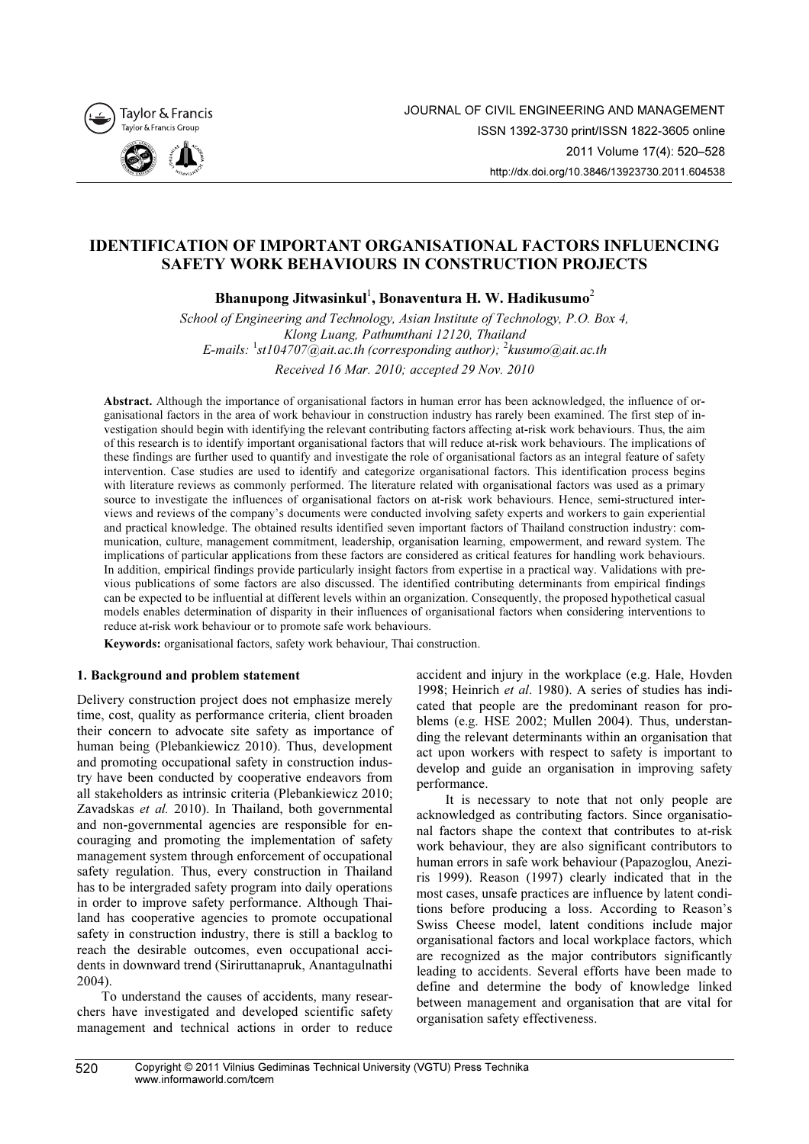

# IDENTIFICATION OF IMPORTANT ORGANISATIONAL FACTORS INFLUENCING SAFETY WORK BEHAVIOURS IN CONSTRUCTION PROJECTS

Bhanupong Jitwasinkul $^{\rm l}$ , Bonaventura H. W. Hadikusumo $^{\rm 2}$ 

School of Engineering and Technology, Asian Institute of Technology, P.O. Box 4, Klong Luang, Pathumthani 12120, Thailand E-mails:  $\frac{1}{1}$ st104707@ait.ac.th (corresponding author);  $\frac{2}{1}$ kusumo@ait.ac.th Received 16 Mar. 2010; accepted 29 Nov. 2010

Abstract. Although the importance of organisational factors in human error has been acknowledged, the influence of organisational factors in the area of work behaviour in construction industry has rarely been examined. The first step of investigation should begin with identifying the relevant contributing factors affecting at-risk work behaviours. Thus, the aim of this research is to identify important organisational factors that will reduce at-risk work behaviours. The implications of these findings are further used to quantify and investigate the role of organisational factors as an integral feature of safety intervention. Case studies are used to identify and categorize organisational factors. This identification process begins with literature reviews as commonly performed. The literature related with organisational factors was used as a primary source to investigate the influences of organisational factors on at-risk work behaviours. Hence, semi-structured interviews and reviews of the company's documents were conducted involving safety experts and workers to gain experiential and practical knowledge. The obtained results identified seven important factors of Thailand construction industry: communication, culture, management commitment, leadership, organisation learning, empowerment, and reward system. The implications of particular applications from these factors are considered as critical features for handling work behaviours. In addition, empirical findings provide particularly insight factors from expertise in a practical way. Validations with previous publications of some factors are also discussed. The identified contributing determinants from empirical findings can be expected to be influential at different levels within an organization. Consequently, the proposed hypothetical casual models enables determination of disparity in their influences of organisational factors when considering interventions to reduce at-risk work behaviour or to promote safe work behaviours.

Keywords: organisational factors, safety work behaviour, Thai construction.

# 1. Background and problem statement

Delivery construction project does not emphasize merely time, cost, quality as performance criteria, client broaden their concern to advocate site safety as importance of human being (Plebankiewicz 2010). Thus, development and promoting occupational safety in construction industry have been conducted by cooperative endeavors from all stakeholders as intrinsic criteria (Plebankiewicz 2010; Zavadskas et al. 2010). In Thailand, both governmental and non-governmental agencies are responsible for encouraging and promoting the implementation of safety management system through enforcement of occupational safety regulation. Thus, every construction in Thailand has to be intergraded safety program into daily operations in order to improve safety performance. Although Thailand has cooperative agencies to promote occupational safety in construction industry, there is still a backlog to reach the desirable outcomes, even occupational accidents in downward trend (Siriruttanapruk, Anantagulnathi 2004).

To understand the causes of accidents, many researchers have investigated and developed scientific safety management and technical actions in order to reduce

520

accident and injury in the workplace (e.g. Hale, Hovden 1998; Heinrich et al. 1980). A series of studies has indicated that people are the predominant reason for problems (e.g. HSE 2002; Mullen 2004). Thus, understanding the relevant determinants within an organisation that act upon workers with respect to safety is important to develop and guide an organisation in improving safety performance.

It is necessary to note that not only people are acknowledged as contributing factors. Since organisational factors shape the context that contributes to at-risk work behaviour, they are also significant contributors to human errors in safe work behaviour (Papazoglou, Aneziris 1999). Reason (1997) clearly indicated that in the most cases, unsafe practices are influence by latent conditions before producing a loss. According to Reason's Swiss Cheese model, latent conditions include major organisational factors and local workplace factors, which are recognized as the major contributors significantly leading to accidents. Several efforts have been made to define and determine the body of knowledge linked between management and organisation that are vital for organisation safety effectiveness.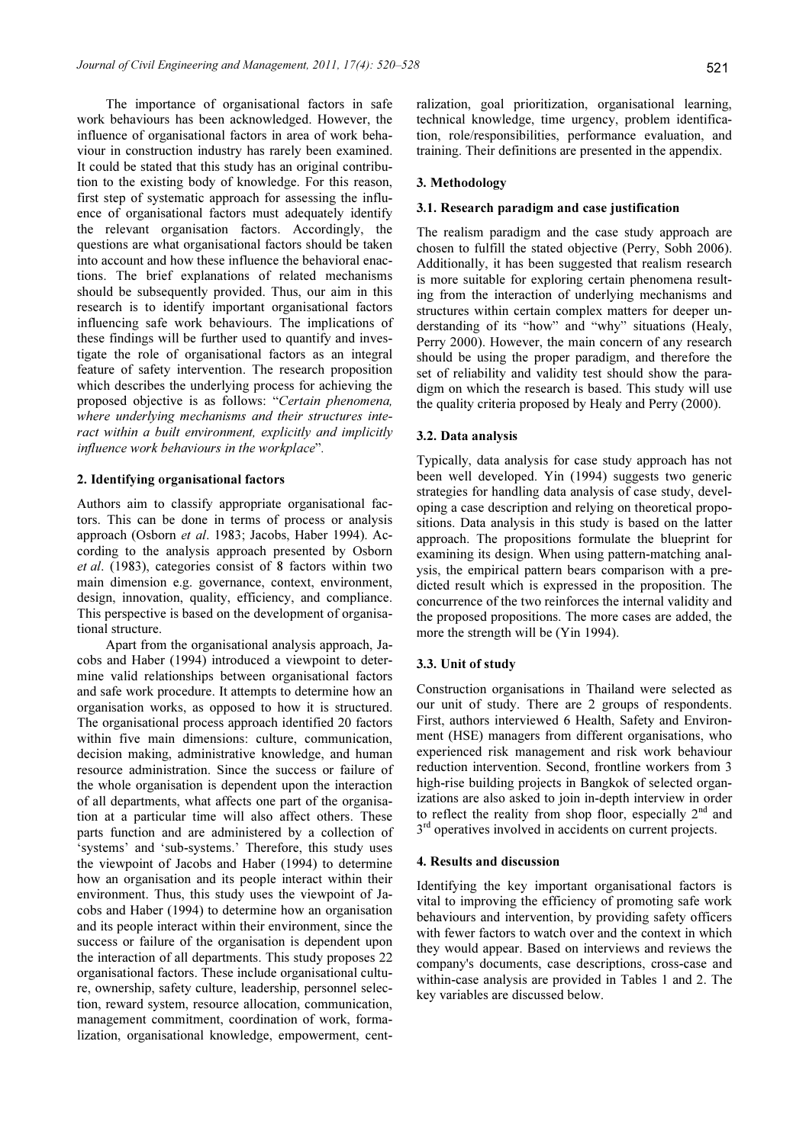The importance of organisational factors in safe work behaviours has been acknowledged. However, the influence of organisational factors in area of work behaviour in construction industry has rarely been examined. It could be stated that this study has an original contribution to the existing body of knowledge. For this reason, first step of systematic approach for assessing the influence of organisational factors must adequately identify the relevant organisation factors. Accordingly, the questions are what organisational factors should be taken into account and how these influence the behavioral enactions. The brief explanations of related mechanisms should be subsequently provided. Thus, our aim in this research is to identify important organisational factors influencing safe work behaviours. The implications of these findings will be further used to quantify and investigate the role of organisational factors as an integral feature of safety intervention. The research proposition which describes the underlying process for achieving the proposed objective is as follows: "Certain phenomena, where underlying mechanisms and their structures interact within a built environment, explicitly and implicitly influence work behaviours in the workplace".

# 2. Identifying organisational factors

Authors aim to classify appropriate organisational factors. This can be done in terms of process or analysis approach (Osborn et al. 1983; Jacobs, Haber 1994). According to the analysis approach presented by Osborn et al. (1983), categories consist of 8 factors within two main dimension e.g. governance, context, environment, design, innovation, quality, efficiency, and compliance. This perspective is based on the development of organisational structure.

Apart from the organisational analysis approach, Jacobs and Haber (1994) introduced a viewpoint to determine valid relationships between organisational factors and safe work procedure. It attempts to determine how an organisation works, as opposed to how it is structured. The organisational process approach identified 20 factors within five main dimensions: culture, communication, decision making, administrative knowledge, and human resource administration. Since the success or failure of the whole organisation is dependent upon the interaction of all departments, what affects one part of the organisation at a particular time will also affect others. These parts function and are administered by a collection of 'systems' and 'sub-systems.' Therefore, this study uses the viewpoint of Jacobs and Haber (1994) to determine how an organisation and its people interact within their environment. Thus, this study uses the viewpoint of Jacobs and Haber (1994) to determine how an organisation and its people interact within their environment, since the success or failure of the organisation is dependent upon the interaction of all departments. This study proposes 22 organisational factors. These include organisational culture, ownership, safety culture, leadership, personnel selection, reward system, resource allocation, communication, management commitment, coordination of work, formalization, organisational knowledge, empowerment, centralization, goal prioritization, organisational learning, technical knowledge, time urgency, problem identification, role/responsibilities, performance evaluation, and training. Their definitions are presented in the appendix.

### 3. Methodology

# 3.1. Research paradigm and case justification

The realism paradigm and the case study approach are chosen to fulfill the stated objective (Perry, Sobh 2006). Additionally, it has been suggested that realism research is more suitable for exploring certain phenomena resulting from the interaction of underlying mechanisms and structures within certain complex matters for deeper understanding of its "how" and "why" situations (Healy, Perry 2000). However, the main concern of any research should be using the proper paradigm, and therefore the set of reliability and validity test should show the paradigm on which the research is based. This study will use the quality criteria proposed by Healy and Perry (2000).

#### 3.2. Data analysis

Typically, data analysis for case study approach has not been well developed. Yin (1994) suggests two generic strategies for handling data analysis of case study, developing a case description and relying on theoretical propositions. Data analysis in this study is based on the latter approach. The propositions formulate the blueprint for examining its design. When using pattern-matching analysis, the empirical pattern bears comparison with a predicted result which is expressed in the proposition. The concurrence of the two reinforces the internal validity and the proposed propositions. The more cases are added, the more the strength will be (Yin 1994).

#### 3.3. Unit of study

Construction organisations in Thailand were selected as our unit of study. There are 2 groups of respondents. First, authors interviewed 6 Health, Safety and Environment (HSE) managers from different organisations, who experienced risk management and risk work behaviour reduction intervention. Second, frontline workers from 3 high-rise building projects in Bangkok of selected organizations are also asked to join in-depth interview in order to reflect the reality from shop floor, especially  $2<sup>nd</sup>$  and 3<sup>rd</sup> operatives involved in accidents on current projects.

# 4. Results and discussion

Identifying the key important organisational factors is vital to improving the efficiency of promoting safe work behaviours and intervention, by providing safety officers with fewer factors to watch over and the context in which they would appear. Based on interviews and reviews the company's documents, case descriptions, cross-case and within-case analysis are provided in Tables 1 and 2. The key variables are discussed below.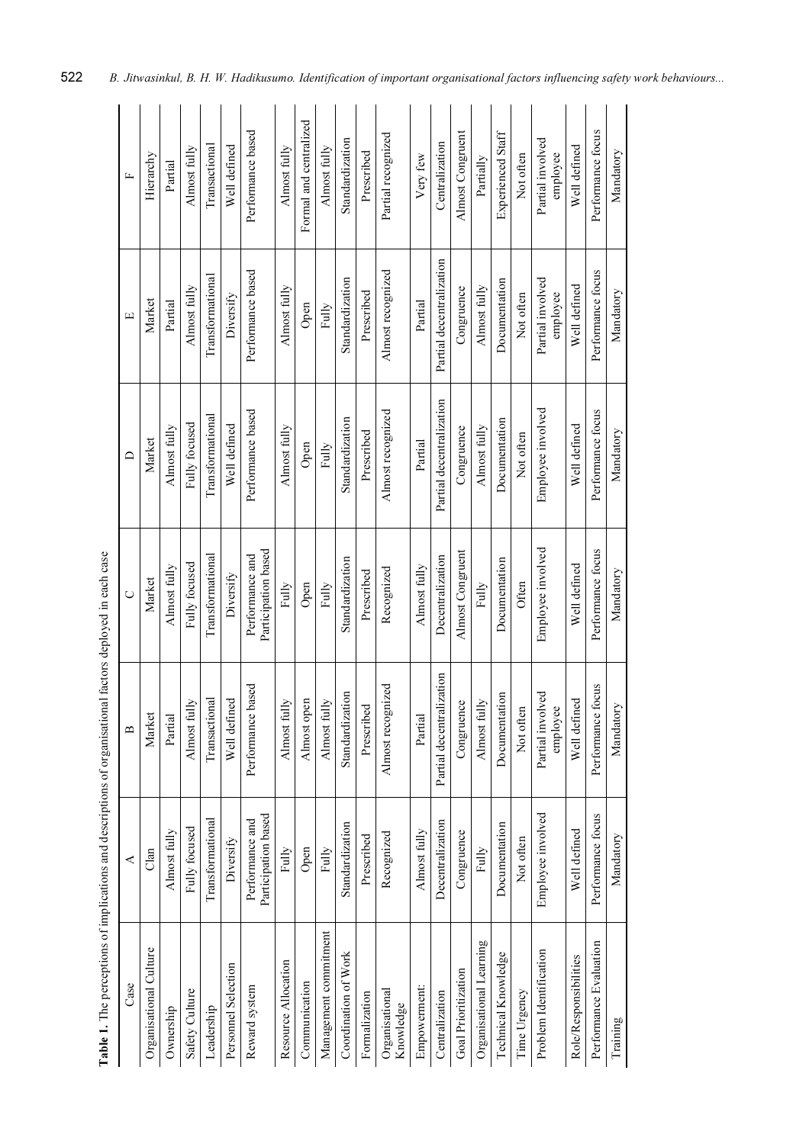| Table 1. The perceptions of implications and descriptions of organisational factors deployed in each case |                                        |                              |                                        |                          |                                                                                                                                                                                                                                                                                                                                                                                                                                                                                                                                           |                              |
|-----------------------------------------------------------------------------------------------------------|----------------------------------------|------------------------------|----------------------------------------|--------------------------|-------------------------------------------------------------------------------------------------------------------------------------------------------------------------------------------------------------------------------------------------------------------------------------------------------------------------------------------------------------------------------------------------------------------------------------------------------------------------------------------------------------------------------------------|------------------------------|
| Case                                                                                                      | ≺                                      | $\mathbf{\Omega}$            | $\cup$                                 | $\Box$                   | $\boxed{\underline{\phantom{a}}}% =\qquad\phantom{\int\underset{\phantom{a}}{\underbrace{\phantom{a}}}} \qquad \qquad \text{and} \qquad \qquad \boxed{\phantom{\phantom{a}}}\qquad \qquad \text{and} \qquad \qquad \boxed{\phantom{\ast}} \qquad \text{and} \qquad \qquad \text{and} \qquad \qquad \text{and} \qquad \text{and} \qquad \text{and} \qquad \text{and} \qquad \text{and} \qquad \text{and} \qquad \text{and} \qquad \text{and} \qquad \text{and} \qquad \text{and} \qquad \text{and} \qquad \text{and} \qquad \text{and} \q$ | $\square$                    |
| Organisational Culture                                                                                    | Clan                                   | Market                       | Market                                 | Market                   | Market                                                                                                                                                                                                                                                                                                                                                                                                                                                                                                                                    | Hierarchy                    |
| Ownership                                                                                                 | Almost fully                           | Partial                      | Almost fully                           | Almost fully             | Partial                                                                                                                                                                                                                                                                                                                                                                                                                                                                                                                                   | Partial                      |
| Safety Culture                                                                                            | Fully focused                          | $\geq$<br>Almost ful         | Fully focused                          | Fully focused            | Almost fully                                                                                                                                                                                                                                                                                                                                                                                                                                                                                                                              | Almost fully                 |
| Leadership                                                                                                | Transformational                       | Transactional                | Transformational                       | Transformational         | Transformational                                                                                                                                                                                                                                                                                                                                                                                                                                                                                                                          | Transactional                |
| Personnel Selection                                                                                       | Diversify                              | Well defined                 | Diversify                              | Well defined             | Diversify                                                                                                                                                                                                                                                                                                                                                                                                                                                                                                                                 | Well defined                 |
| Reward system                                                                                             | Participation based<br>Performance and | Performance based            | Participation based<br>Performance and | Performance based        | Performance based                                                                                                                                                                                                                                                                                                                                                                                                                                                                                                                         | Performance based            |
| Resource Allocation                                                                                       | Fully                                  | Almost fully                 | Fully                                  | Almost fully             | Almost fully                                                                                                                                                                                                                                                                                                                                                                                                                                                                                                                              | Almost fully                 |
| Communication                                                                                             | Open                                   | Almost open                  | Open                                   | Open                     | Open                                                                                                                                                                                                                                                                                                                                                                                                                                                                                                                                      | Formal and centralized       |
| Management commitment                                                                                     | Fully                                  | Almost fully                 | Fully                                  | Fully                    | Fully                                                                                                                                                                                                                                                                                                                                                                                                                                                                                                                                     | Almost fully                 |
| Coordination of Work                                                                                      | Standardization                        | Standardization              | Standardization                        | Standardization          | Standardization                                                                                                                                                                                                                                                                                                                                                                                                                                                                                                                           | Standardization              |
| Formalization                                                                                             | Prescribed                             | Prescribed                   | Prescribed                             | Prescribed               | Prescribed                                                                                                                                                                                                                                                                                                                                                                                                                                                                                                                                | Prescribed                   |
| Organisational<br>Knowledge                                                                               | Recognized                             | Almost recognized            | Recognized                             | Almost recognized        | Almost recognized                                                                                                                                                                                                                                                                                                                                                                                                                                                                                                                         | Partial recognized           |
| Empowerment:                                                                                              | Almost fully                           | Partial                      | Almost fully                           | Partial                  | Partial                                                                                                                                                                                                                                                                                                                                                                                                                                                                                                                                   | Very few                     |
| Centralization                                                                                            | Decentralization                       | Partial decentralization     | Decentralization                       | Partial decentralization | Partial decentralization                                                                                                                                                                                                                                                                                                                                                                                                                                                                                                                  | Centralization               |
| Goal Prioritization                                                                                       | Congruence                             | Congruence                   | Almost Congruent                       | Congruence               | Congruence                                                                                                                                                                                                                                                                                                                                                                                                                                                                                                                                | Almost Congruent             |
| Organisational Learning                                                                                   | Fully                                  | Almost fully                 | Fully                                  | Almost fully             | Almost fully                                                                                                                                                                                                                                                                                                                                                                                                                                                                                                                              | Partially                    |
| Technical Knowledge                                                                                       | Documentation                          | Documentation                | Documentation                          | Documentation            | Documentation                                                                                                                                                                                                                                                                                                                                                                                                                                                                                                                             | Experienced Staff            |
| Time Urgency                                                                                              | Not often                              | Not often                    | Often                                  | Not often                | Not often                                                                                                                                                                                                                                                                                                                                                                                                                                                                                                                                 | Not often                    |
| Problem Identification                                                                                    | Employee involved                      | Partial involved<br>employee | Employee involved                      | Employee involved        | Partial involved<br>employee                                                                                                                                                                                                                                                                                                                                                                                                                                                                                                              | Partial involved<br>employee |
| Role/Responsibilities                                                                                     | Well defined                           | Well defined                 | Well defined                           | Well defined             | Well defined                                                                                                                                                                                                                                                                                                                                                                                                                                                                                                                              | Well defined                 |
| Performance Evaluation                                                                                    | Performance focus                      | focus<br>Performance f       | Performance focus                      | Performance focus        | Performance focus                                                                                                                                                                                                                                                                                                                                                                                                                                                                                                                         | Performance focus            |
| Training                                                                                                  | Mandatory                              | Mandatory                    | Mandatory                              | Mandatory                | Mandatory                                                                                                                                                                                                                                                                                                                                                                                                                                                                                                                                 | Mandatory                    |

Table 1. The perceptions of implications and descriptions of organisational factors deployed in each case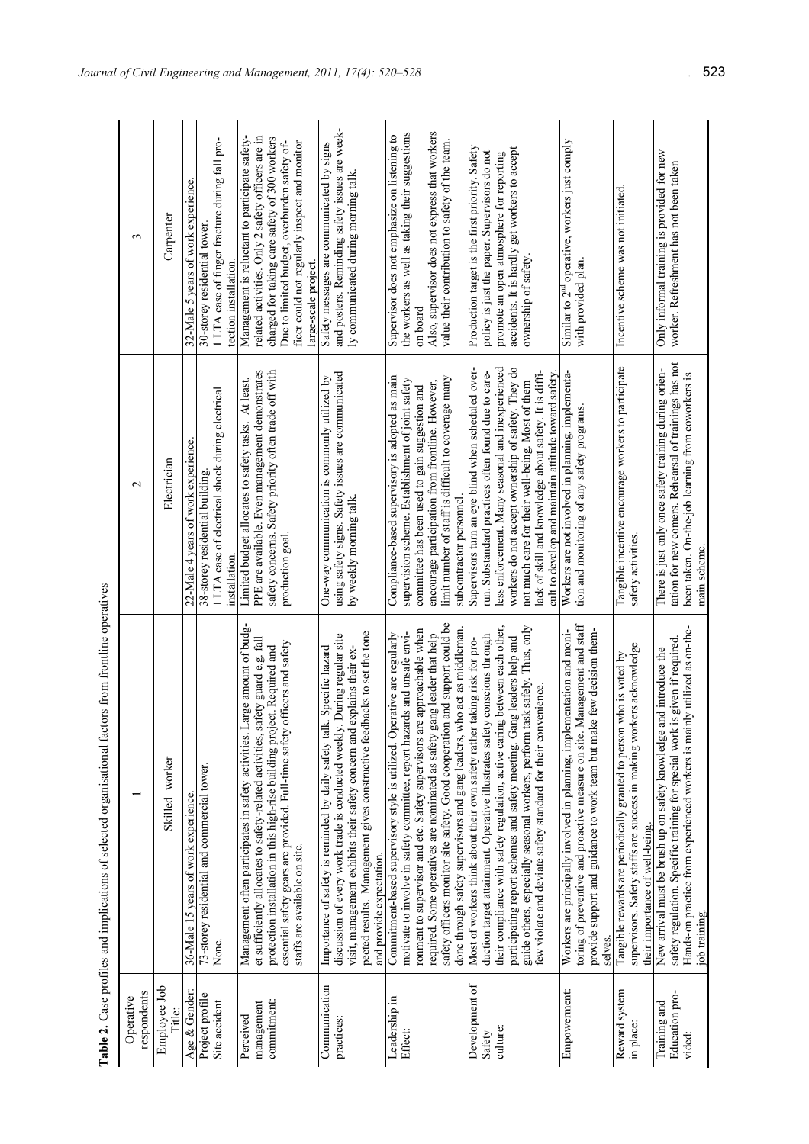| respondents<br>Operative               |                                                                                                                                                                                                                                                                                                                                          | $\mathbf{\Omega}$                                                                                                                                               | 3                                                                                                                                                    |
|----------------------------------------|------------------------------------------------------------------------------------------------------------------------------------------------------------------------------------------------------------------------------------------------------------------------------------------------------------------------------------------|-----------------------------------------------------------------------------------------------------------------------------------------------------------------|------------------------------------------------------------------------------------------------------------------------------------------------------|
| Employee Job<br>Title:                 | Skilled worker                                                                                                                                                                                                                                                                                                                           | Electrician                                                                                                                                                     | Carpenter                                                                                                                                            |
| Age & Gender:                          | 36-Male 15 years of work experience.                                                                                                                                                                                                                                                                                                     | 22-Male 4 years of work experience                                                                                                                              | 32-Male 5 years of work experience.                                                                                                                  |
| Project profile                        | 73-storey residential and commercial tower.                                                                                                                                                                                                                                                                                              | 38-storey residential building                                                                                                                                  | 30-storey residential tower                                                                                                                          |
| Site accident                          | None.                                                                                                                                                                                                                                                                                                                                    | 1 LTA case of electrical shock during electrical<br>installation.                                                                                               | 1 LTA case of finger fracture during fall pro-<br>tection installation.                                                                              |
|                                        |                                                                                                                                                                                                                                                                                                                                          |                                                                                                                                                                 |                                                                                                                                                      |
| commitment:<br>management<br>Perceived | Management often participates in safety activities. Large amount of budg-<br>et sufficiently allocates to safety-related activities, safety guard e.g. fall<br>protection installation in this high-rise building project. Required and                                                                                                  | PPE are available. Even management demonstrates<br>safety concerns. Safety priority often trade off with<br>Limited budget allocates to safety tasks. At least, | Management is reluctant to participate safety-<br>related activities. Only 2 safety officers are in<br>charged for taking care safety of 300 workers |
|                                        | essential safety gears are provided. Full-time safety officers and safety<br>staffs are available on site.                                                                                                                                                                                                                               | production goal                                                                                                                                                 | Due to limited budget, overburden safety of-<br>ficer could not regularly inspect and monitor<br>large-scale project.                                |
| Communication<br>practices:            | pected results. Management gives constructive feedbacks to set the tone<br>During regular site<br>visit, management exhibits their safety concern and explains their ex-<br>Specific hazard<br>Importance of safety is reminded by daily safety talk.<br>discussion of every work trade is conducted weekly.<br>and provide expectation. | using safety signs. Safety issues are communicated<br>One-way communication is commonly utilized by<br>by weekly morning talk                                   | and posters. Reminding safety issues are week-<br>Safety messages are communicated by signs<br>ly communicated during morning talk                   |
| Leadership in                          | Commitment-based supervisory style is utilized. Operative are regularly                                                                                                                                                                                                                                                                  | Compliance-based supervisory is adopted as main                                                                                                                 | Supervisor does not emphasize on listening to                                                                                                        |
| Effect:                                | motivate to involve in safety committee, report hazards and unsafe envi-                                                                                                                                                                                                                                                                 | supervision scheme. Establishment of joint safety                                                                                                               | the workers as well as taking their suggestions                                                                                                      |
|                                        | ronment to supervisor and etc. Safety supervisors are approachable when                                                                                                                                                                                                                                                                  | encourage participation from frontline. However,<br>committee has been used to gain suggestion and                                                              | Also, supervisor does not express that workers<br>on board                                                                                           |
|                                        | safety officers monitor site safety. Good cooperation and support could be<br>required. Some operatives are nominated as safety gang leader that help                                                                                                                                                                                    | limit number of staff is difficult to coverage many                                                                                                             | value their contribution to safety of the team.                                                                                                      |
|                                        | done through safety supervisors and gang leaders, who act as middleman                                                                                                                                                                                                                                                                   | subcontractor personnel.                                                                                                                                        |                                                                                                                                                      |
| Development of                         | Most of workers think about their own safety rather taking risk for pro-                                                                                                                                                                                                                                                                 | Supervisors turn an eye blind when scheduled over-                                                                                                              | Production target is the first priority. Safety                                                                                                      |
| culture:<br>Safety                     | between each other,<br>duction target attainment. Operative illustrates safety conscious through<br>their compliance with safety regulation, active caring                                                                                                                                                                               | less enforcement. Many seasonal and inexperienced<br>run. Substandard practices often found due to care-                                                        | policy is just the paper. Supervisors do not<br>promote an open atmosphere for reporting                                                             |
|                                        | participating report schemes and safety meeting. Gang leaders help and                                                                                                                                                                                                                                                                   | workers do not accept ownership of safety. They do                                                                                                              | accidents. It is hardly get workers to accept                                                                                                        |
|                                        | guide others, especially seasonal workers, perform task safely. Thus, only<br>few violate and deviate safety standard for their convenience.                                                                                                                                                                                             | lack of skill and knowledge about safety. It is diffi-<br>not much care for their well-being. Most of them                                                      | ownership of safety.                                                                                                                                 |
|                                        |                                                                                                                                                                                                                                                                                                                                          | cult to develop and maintain attitude toward safety                                                                                                             |                                                                                                                                                      |
| Empowerment:                           | toring of preventive and proactive measure on site. Management and staff<br>few decision them-<br>Workers are principally involved in planning, implementation and moni-<br>provide support and guidance to work team but make<br>selves.                                                                                                | Workers are not involved in planning, implementa-<br>tion and monitoring of any safety programs.                                                                | Similar to 2 <sup>nd</sup> operative, workers just comply<br>with provided plan.                                                                     |
| Reward system<br>in place:             | supervisors. Safety staffs are success in making workers acknowledge<br>Tangible rewards are periodically granted to person who is voted by<br>their importance of well-being.                                                                                                                                                           | Tangible incentive encourage workers to participate<br>safety activities.                                                                                       | Incentive scheme was not initiated.                                                                                                                  |
| Training and                           | New arrival must be brush up on safety knowledge and introduce the                                                                                                                                                                                                                                                                       | There is just only once safety training during orien-                                                                                                           | Only informal training is provided for new                                                                                                           |
| Education pro-<br>vided:               | Hands-on practice from experienced workers is mainly utilized as on-the-<br>safety regulation. Specific training for special work is given if required.                                                                                                                                                                                  | tation for new comers. Rehearsal of trainings has not<br>been taken. On-the-job learning from coworkers is                                                      | worker. Refreshment has not been taken                                                                                                               |
|                                        | ob training                                                                                                                                                                                                                                                                                                                              | main scheme.                                                                                                                                                    |                                                                                                                                                      |

Table 2. Case profiles and implications of selected organisational factors from frontline operatives Table 2. Case profiles and implications of selected organisational factors from frontline operatives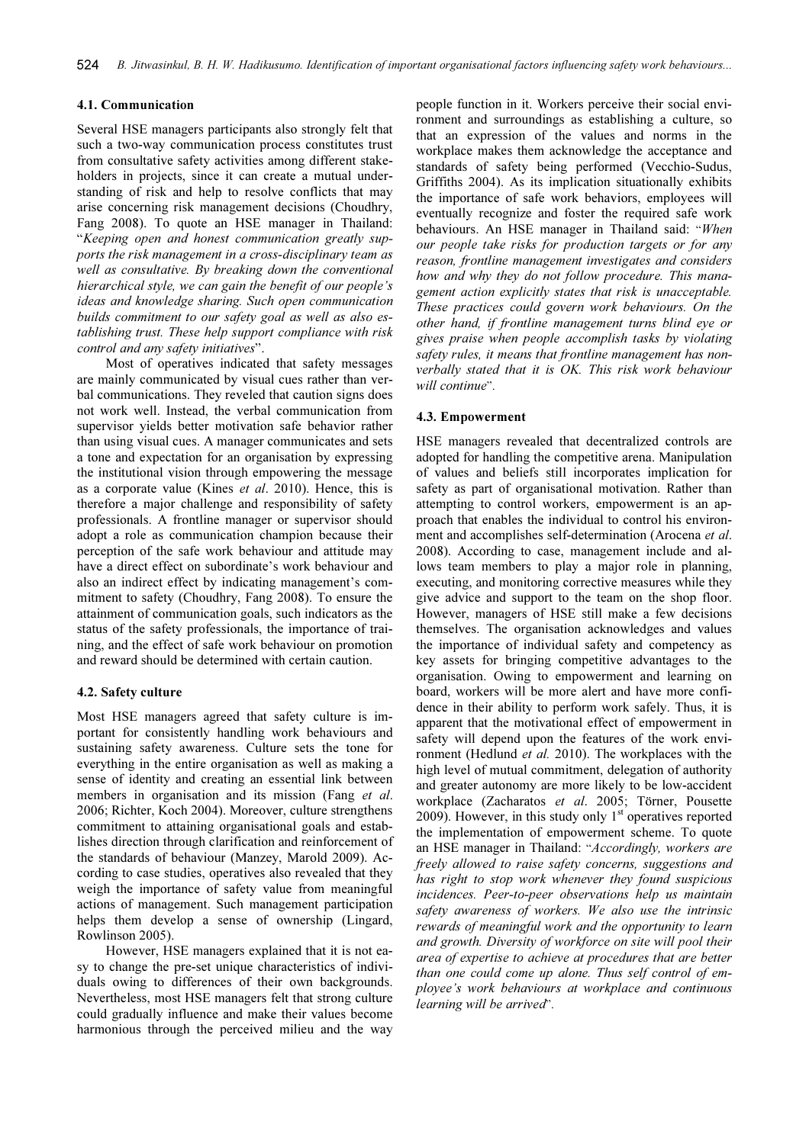# 4.1. Communication

Several HSE managers participants also strongly felt that such a two-way communication process constitutes trust from consultative safety activities among different stakeholders in projects, since it can create a mutual understanding of risk and help to resolve conflicts that may arise concerning risk management decisions (Choudhry, Fang 2008). To quote an HSE manager in Thailand: "Keeping open and honest communication greatly supports the risk management in a cross-disciplinary team as well as consultative. By breaking down the conventional hierarchical style, we can gain the benefit of our people's ideas and knowledge sharing. Such open communication builds commitment to our safety goal as well as also establishing trust. These help support compliance with risk control and any safety initiatives".

Most of operatives indicated that safety messages are mainly communicated by visual cues rather than verbal communications. They reveled that caution signs does not work well. Instead, the verbal communication from supervisor yields better motivation safe behavior rather than using visual cues. A manager communicates and sets a tone and expectation for an organisation by expressing the institutional vision through empowering the message as a corporate value (Kines et al. 2010). Hence, this is therefore a major challenge and responsibility of safety professionals. A frontline manager or supervisor should adopt a role as communication champion because their perception of the safe work behaviour and attitude may have a direct effect on subordinate's work behaviour and also an indirect effect by indicating management's commitment to safety (Choudhry, Fang 2008). To ensure the attainment of communication goals, such indicators as the status of the safety professionals, the importance of training, and the effect of safe work behaviour on promotion and reward should be determined with certain caution.

# 4.2. Safety culture

Most HSE managers agreed that safety culture is important for consistently handling work behaviours and sustaining safety awareness. Culture sets the tone for everything in the entire organisation as well as making a sense of identity and creating an essential link between members in organisation and its mission (Fang *et al.*) 2006; Richter, Koch 2004). Moreover, culture strengthens commitment to attaining organisational goals and establishes direction through clarification and reinforcement of the standards of behaviour (Manzey, Marold 2009). According to case studies, operatives also revealed that they weigh the importance of safety value from meaningful actions of management. Such management participation helps them develop a sense of ownership (Lingard, Rowlinson 2005).

However, HSE managers explained that it is not easy to change the pre-set unique characteristics of individuals owing to differences of their own backgrounds. Nevertheless, most HSE managers felt that strong culture could gradually influence and make their values become harmonious through the perceived milieu and the way people function in it. Workers perceive their social environment and surroundings as establishing a culture, so that an expression of the values and norms in the workplace makes them acknowledge the acceptance and standards of safety being performed (Vecchio-Sudus, Griffiths 2004). As its implication situationally exhibits the importance of safe work behaviors, employees will eventually recognize and foster the required safe work behaviours. An HSE manager in Thailand said: "When our people take risks for production targets or for any reason, frontline management investigates and considers how and why they do not follow procedure. This management action explicitly states that risk is unacceptable. These practices could govern work behaviours. On the other hand, if frontline management turns blind eye or gives praise when people accomplish tasks by violating safety rules, it means that frontline management has nonverbally stated that it is OK. This risk work behaviour will continue".

### 4.3. Empowerment

HSE managers revealed that decentralized controls are adopted for handling the competitive arena. Manipulation of values and beliefs still incorporates implication for safety as part of organisational motivation. Rather than attempting to control workers, empowerment is an approach that enables the individual to control his environment and accomplishes self-determination (Arocena et al. 2008). According to case, management include and allows team members to play a major role in planning, executing, and monitoring corrective measures while they give advice and support to the team on the shop floor. However, managers of HSE still make a few decisions themselves. The organisation acknowledges and values the importance of individual safety and competency as key assets for bringing competitive advantages to the organisation. Owing to empowerment and learning on board, workers will be more alert and have more confidence in their ability to perform work safely. Thus, it is apparent that the motivational effect of empowerment in safety will depend upon the features of the work environment (Hedlund et al. 2010). The workplaces with the high level of mutual commitment, delegation of authority and greater autonomy are more likely to be low-accident workplace (Zacharatos et al. 2005; Törner, Pousette 2009). However, in this study only  $1<sup>st</sup>$  operatives reported the implementation of empowerment scheme. To quote an HSE manager in Thailand: "Accordingly, workers are freely allowed to raise safety concerns, suggestions and has right to stop work whenever they found suspicious incidences. Peer-to-peer observations help us maintain safety awareness of workers. We also use the intrinsic rewards of meaningful work and the opportunity to learn and growth. Diversity of workforce on site will pool their area of expertise to achieve at procedures that are better than one could come up alone. Thus self control of employee's work behaviours at workplace and continuous learning will be arrived".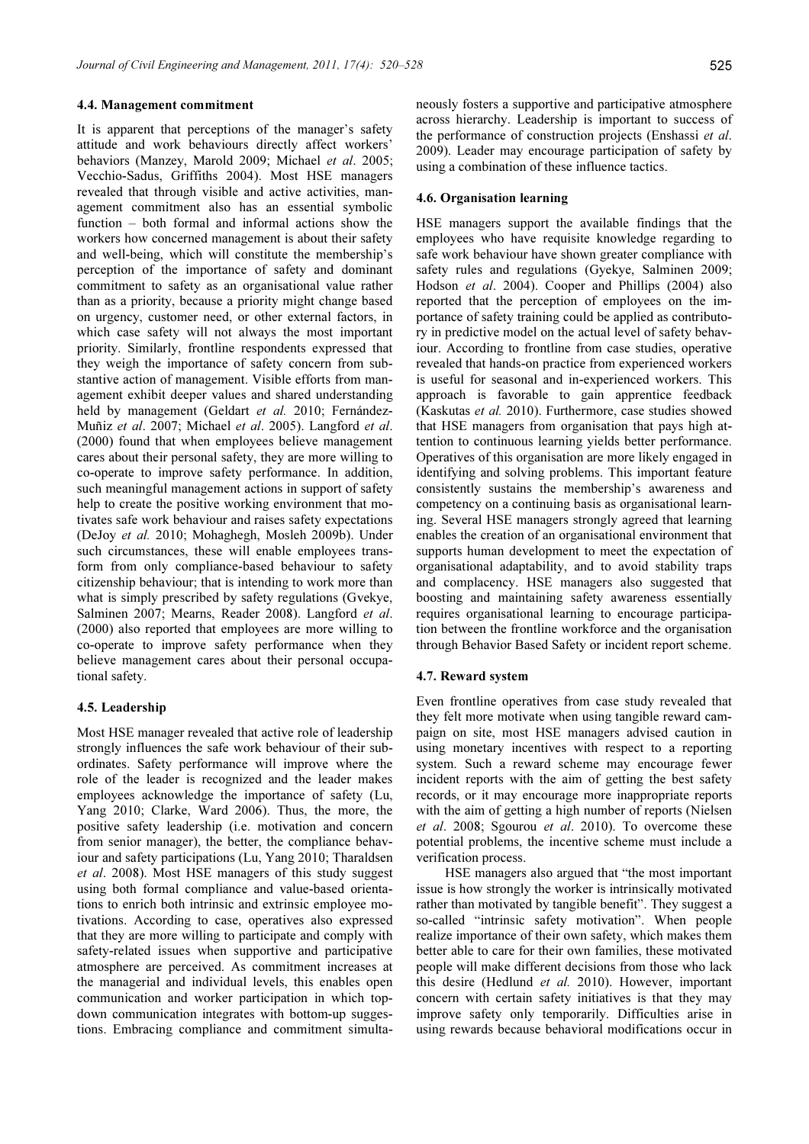#### 4.4. Management commitment

It is apparent that perceptions of the manager's safety attitude and work behaviours directly affect workers' behaviors (Manzey, Marold 2009; Michael et al. 2005; Vecchio-Sadus, Griffiths 2004). Most HSE managers revealed that through visible and active activities, management commitment also has an essential symbolic function – both formal and informal actions show the workers how concerned management is about their safety and well-being, which will constitute the membership's perception of the importance of safety and dominant commitment to safety as an organisational value rather than as a priority, because a priority might change based on urgency, customer need, or other external factors, in which case safety will not always the most important priority. Similarly, frontline respondents expressed that they weigh the importance of safety concern from substantive action of management. Visible efforts from management exhibit deeper values and shared understanding held by management (Geldart et al. 2010; Fernández-Muñiz et al. 2007; Michael et al. 2005). Langford et al. (2000) found that when employees believe management cares about their personal safety, they are more willing to co-operate to improve safety performance. In addition, such meaningful management actions in support of safety help to create the positive working environment that motivates safe work behaviour and raises safety expectations (DeJoy et al. 2010; Mohaghegh, Mosleh 2009b). Under such circumstances, these will enable employees transform from only compliance-based behaviour to safety citizenship behaviour; that is intending to work more than what is simply prescribed by safety regulations (Gvekye, Salminen 2007; Mearns, Reader 2008). Langford et al. (2000) also reported that employees are more willing to co-operate to improve safety performance when they believe management cares about their personal occupational safety.

#### 4.5. Leadership

Most HSE manager revealed that active role of leadership strongly influences the safe work behaviour of their subordinates. Safety performance will improve where the role of the leader is recognized and the leader makes employees acknowledge the importance of safety (Lu, Yang 2010; Clarke, Ward 2006). Thus, the more, the positive safety leadership (i.e. motivation and concern from senior manager), the better, the compliance behaviour and safety participations (Lu, Yang 2010; Tharaldsen et al. 2008). Most HSE managers of this study suggest using both formal compliance and value-based orientations to enrich both intrinsic and extrinsic employee motivations. According to case, operatives also expressed that they are more willing to participate and comply with safety-related issues when supportive and participative atmosphere are perceived. As commitment increases at the managerial and individual levels, this enables open communication and worker participation in which topdown communication integrates with bottom-up suggestions. Embracing compliance and commitment simultaneously fosters a supportive and participative atmosphere across hierarchy. Leadership is important to success of the performance of construction projects (Enshassi et al. 2009). Leader may encourage participation of safety by using a combination of these influence tactics.

# 4.6. Organisation learning

HSE managers support the available findings that the employees who have requisite knowledge regarding to safe work behaviour have shown greater compliance with safety rules and regulations (Gyekye, Salminen 2009; Hodson et al. 2004). Cooper and Phillips (2004) also reported that the perception of employees on the importance of safety training could be applied as contributory in predictive model on the actual level of safety behaviour. According to frontline from case studies, operative revealed that hands-on practice from experienced workers is useful for seasonal and in-experienced workers. This approach is favorable to gain apprentice feedback (Kaskutas et al. 2010). Furthermore, case studies showed that HSE managers from organisation that pays high attention to continuous learning yields better performance. Operatives of this organisation are more likely engaged in identifying and solving problems. This important feature consistently sustains the membership's awareness and competency on a continuing basis as organisational learning. Several HSE managers strongly agreed that learning enables the creation of an organisational environment that supports human development to meet the expectation of organisational adaptability, and to avoid stability traps and complacency. HSE managers also suggested that boosting and maintaining safety awareness essentially requires organisational learning to encourage participation between the frontline workforce and the organisation through Behavior Based Safety or incident report scheme.

# 4.7. Reward system

Even frontline operatives from case study revealed that they felt more motivate when using tangible reward campaign on site, most HSE managers advised caution in using monetary incentives with respect to a reporting system. Such a reward scheme may encourage fewer incident reports with the aim of getting the best safety records, or it may encourage more inappropriate reports with the aim of getting a high number of reports (Nielsen et al. 2008; Sgourou et al. 2010). To overcome these potential problems, the incentive scheme must include a verification process.

HSE managers also argued that "the most important issue is how strongly the worker is intrinsically motivated rather than motivated by tangible benefit". They suggest a so-called "intrinsic safety motivation". When people realize importance of their own safety, which makes them better able to care for their own families, these motivated people will make different decisions from those who lack this desire (Hedlund et al. 2010). However, important concern with certain safety initiatives is that they may improve safety only temporarily. Difficulties arise in using rewards because behavioral modifications occur in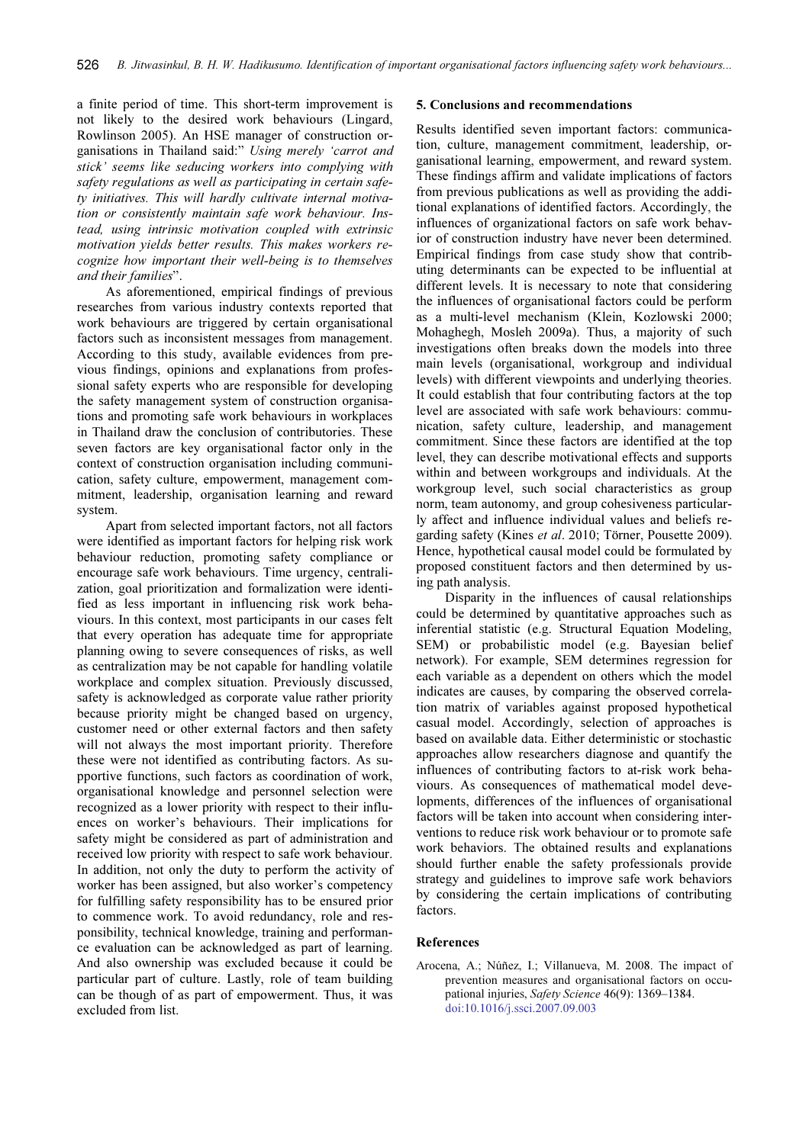a finite period of time. This short-term improvement is not likely to the desired work behaviours (Lingard, Rowlinson 2005). An HSE manager of construction organisations in Thailand said:" Using merely 'carrot and stick' seems like seducing workers into complying with safety regulations as well as participating in certain safety initiatives. This will hardly cultivate internal motivation or consistently maintain safe work behaviour. Instead, using intrinsic motivation coupled with extrinsic motivation yields better results. This makes workers recognize how important their well-being is to themselves and their families".

As aforementioned, empirical findings of previous researches from various industry contexts reported that work behaviours are triggered by certain organisational factors such as inconsistent messages from management. According to this study, available evidences from previous findings, opinions and explanations from professional safety experts who are responsible for developing the safety management system of construction organisations and promoting safe work behaviours in workplaces in Thailand draw the conclusion of contributories. These seven factors are key organisational factor only in the context of construction organisation including communication, safety culture, empowerment, management commitment, leadership, organisation learning and reward system.

Apart from selected important factors, not all factors were identified as important factors for helping risk work behaviour reduction, promoting safety compliance or encourage safe work behaviours. Time urgency, centralization, goal prioritization and formalization were identified as less important in influencing risk work behaviours. In this context, most participants in our cases felt that every operation has adequate time for appropriate planning owing to severe consequences of risks, as well as centralization may be not capable for handling volatile workplace and complex situation. Previously discussed, safety is acknowledged as corporate value rather priority because priority might be changed based on urgency, customer need or other external factors and then safety will not always the most important priority. Therefore these were not identified as contributing factors. As supportive functions, such factors as coordination of work, organisational knowledge and personnel selection were recognized as a lower priority with respect to their influences on worker's behaviours. Their implications for safety might be considered as part of administration and received low priority with respect to safe work behaviour. In addition, not only the duty to perform the activity of worker has been assigned, but also worker's competency for fulfilling safety responsibility has to be ensured prior to commence work. To avoid redundancy, role and responsibility, technical knowledge, training and performance evaluation can be acknowledged as part of learning. And also ownership was excluded because it could be particular part of culture. Lastly, role of team building can be though of as part of empowerment. Thus, it was excluded from list.

# 5. Conclusions and recommendations

Results identified seven important factors: communication, culture, management commitment, leadership, organisational learning, empowerment, and reward system. These findings affirm and validate implications of factors from previous publications as well as providing the additional explanations of identified factors. Accordingly, the influences of organizational factors on safe work behavior of construction industry have never been determined. Empirical findings from case study show that contributing determinants can be expected to be influential at different levels. It is necessary to note that considering the influences of organisational factors could be perform as a multi-level mechanism (Klein, Kozlowski 2000; Mohaghegh, Mosleh 2009a). Thus, a majority of such investigations often breaks down the models into three main levels (organisational, workgroup and individual levels) with different viewpoints and underlying theories. It could establish that four contributing factors at the top level are associated with safe work behaviours: communication, safety culture, leadership, and management commitment. Since these factors are identified at the top level, they can describe motivational effects and supports within and between workgroups and individuals. At the workgroup level, such social characteristics as group norm, team autonomy, and group cohesiveness particularly affect and influence individual values and beliefs regarding safety (Kines et al. 2010; Törner, Pousette 2009). Hence, hypothetical causal model could be formulated by proposed constituent factors and then determined by using path analysis.

Disparity in the influences of causal relationships could be determined by quantitative approaches such as inferential statistic (e.g. Structural Equation Modeling, SEM) or probabilistic model (e.g. Bayesian belief network). For example, SEM determines regression for each variable as a dependent on others which the model indicates are causes, by comparing the observed correlation matrix of variables against proposed hypothetical casual model. Accordingly, selection of approaches is based on available data. Either deterministic or stochastic approaches allow researchers diagnose and quantify the influences of contributing factors to at-risk work behaviours. As consequences of mathematical model developments, differences of the influences of organisational factors will be taken into account when considering interventions to reduce risk work behaviour or to promote safe work behaviors. The obtained results and explanations should further enable the safety professionals provide strategy and guidelines to improve safe work behaviors by considering the certain implications of contributing factors.

# References

Arocena, A.; Núñez, I.; Villanueva, M. 2008. The impact of prevention measures and organisational factors on occupational injuries, Safety Science 46(9): 1369–1384. doi:10.1016/j.ssci.2007.09.003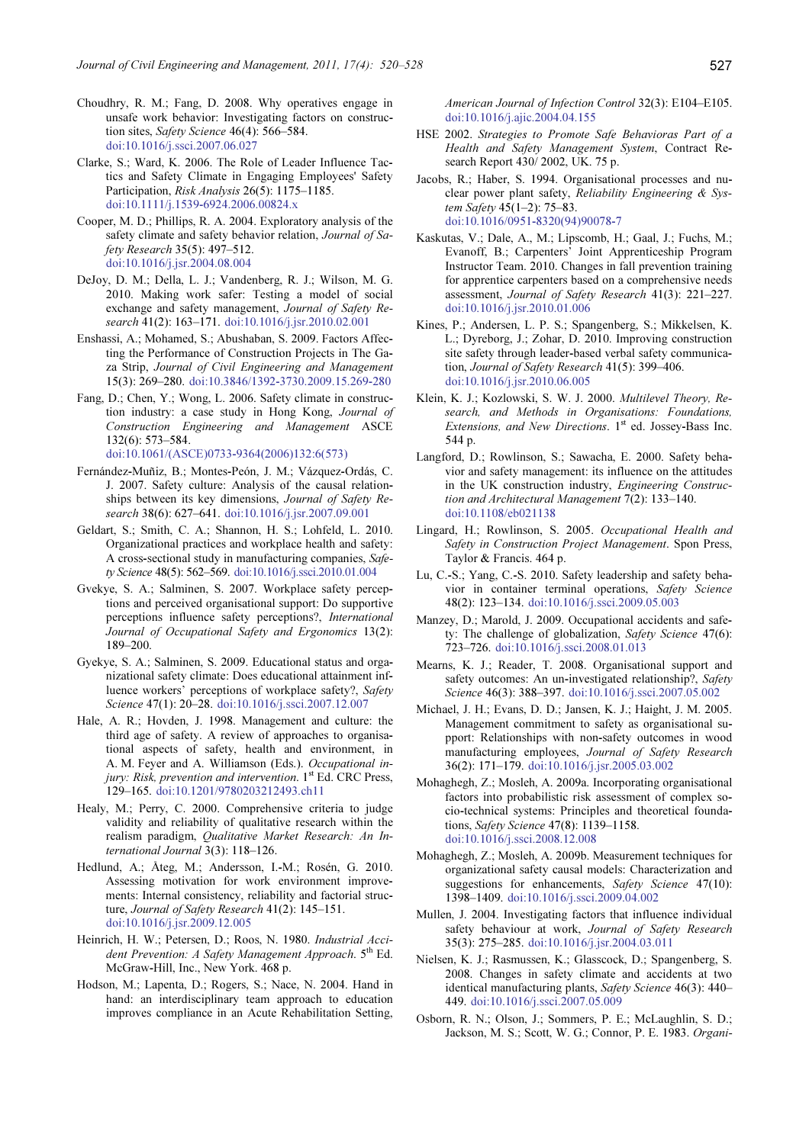- Choudhry, R. M.; Fang, D. 2008. Why operatives engage in unsafe work behavior: Investigating factors on construction sites, Safety Science 46(4): 566-584. doi:10.1016/j.ssci.2007.06.027
- Clarke, S.; Ward, K. 2006. The Role of Leader Influence Tactics and Safety Climate in Engaging Employees' Safety Participation, Risk Analysis 26(5): 1175–1185. doi:10.1111/j.1539-6924.2006.00824.x
- Cooper, M. D.; Phillips, R. A. 2004. Exploratory analysis of the safety climate and safety behavior relation, Journal of Safety Research 35(5): 497–512. doi:10.1016/j.jsr.2004.08.004
- DeJoy, D. M.; Della, L. J.; Vandenberg, R. J.; Wilson, M. G. 2010. Making work safer: Testing a model of social exchange and safety management, Journal of Safety Research 41(2): 163–171. doi:10.1016/j.jsr.2010.02.001
- Enshassi, A.; Mohamed, S.; Abushaban, S. 2009. Factors Affecting the Performance of Construction Projects in The Gaza Strip, Journal of Civil Engineering and Management 15(3): 269–280. doi:10.3846/1392-3730.2009.15.269-280
- Fang, D.; Chen, Y.; Wong, L. 2006. Safety climate in construction industry: a case study in Hong Kong, Journal of Construction Engineering and Management ASCE 132(6): 573–584. doi:10.1061/(ASCE)0733-9364(2006)132:6(573)
- Fernández-Muñiz, B.; Montes-Peón, J. M.; Vázquez-Ordás, C. J. 2007. Safety culture: Analysis of the causal relationships between its key dimensions, Journal of Safety Research 38(6): 627–641. doi:10.1016/j.jsr.2007.09.001
- Geldart, S.; Smith, C. A.; Shannon, H. S.; Lohfeld, L. 2010. Organizational practices and workplace health and safety: A cross-sectional study in manufacturing companies, Safety Science 48(5): 562–569. doi:10.1016/j.ssci.2010.01.004
- Gvekye, S. A.; Salminen, S. 2007. Workplace safety perceptions and perceived organisational support: Do supportive perceptions influence safety perceptions?, International Journal of Occupational Safety and Ergonomics 13(2): 189–200.
- Gyekye, S. A.; Salminen, S. 2009. Educational status and organizational safety climate: Does educational attainment influence workers' perceptions of workplace safety?, Safety Science 47(1): 20–28. doi:10.1016/j.ssci.2007.12.007
- Hale, A. R.; Hovden, J. 1998. Management and culture: the third age of safety. A review of approaches to organisational aspects of safety, health and environment, in A. M. Feyer and A. Williamson (Eds.). Occupational injury: Risk, prevention and intervention.  $1<sup>st</sup>$  Ed. CRC Press, 129–165. doi:10.1201/9780203212493.ch11
- Healy, M.; Perry, C. 2000. Comprehensive criteria to judge validity and reliability of qualitative research within the realism paradigm, Qualitative Market Research: An International Journal 3(3): 118–126.
- Hedlund, A.; Åteg, M.; Andersson, I.-M.; Rosén, G. 2010. Assessing motivation for work environment improvements: Internal consistency, reliability and factorial structure, Journal of Safety Research 41(2): 145–151. doi:10.1016/j.jsr.2009.12.005
- Heinrich, H. W.; Petersen, D.; Roos, N. 1980. Industrial Accident Prevention: A Safety Management Approach. 5<sup>th</sup> Ed. McGraw-Hill, Inc., New York. 468 p.
- Hodson, M.; Lapenta, D.; Rogers, S.; Nace, N. 2004. Hand in hand: an interdisciplinary team approach to education improves compliance in an Acute Rehabilitation Setting,

American Journal of Infection Control 32(3): E104–E105. doi:10.1016/j.ajic.2004.04.155

- HSE 2002. Strategies to Promote Safe Behavioras Part of a Health and Safety Management System, Contract Research Report 430/ 2002, UK. 75 p.
- Jacobs, R.; Haber, S. 1994. Organisational processes and nuclear power plant safety, Reliability Engineering & System Safety 45(1–2): 75–83. doi:10.1016/0951-8320(94)90078-7
- Kaskutas, V.; Dale, A., M.; Lipscomb, H.; Gaal, J.; Fuchs, M.; Evanoff, B.; Carpenters' Joint Apprenticeship Program Instructor Team. 2010. Changes in fall prevention training for apprentice carpenters based on a comprehensive needs assessment, Journal of Safety Research 41(3): 221–227. doi:10.1016/j.jsr.2010.01.006
- Kines, P.; Andersen, L. P. S.; Spangenberg, S.; Mikkelsen, K. L.; Dyreborg, J.; Zohar, D. 2010. Improving construction site safety through leader-based verbal safety communication, Journal of Safety Research 41(5): 399–406. doi:10.1016/j.jsr.2010.06.005
- Klein, K. J.; Kozlowski, S. W. J. 2000. Multilevel Theory, Research, and Methods in Organisations: Foundations, Extensions, and New Directions.  $1<sup>st</sup>$  ed. Jossey-Bass Inc. 544 p.
- Langford, D.; Rowlinson, S.; Sawacha, E. 2000. Safety behavior and safety management: its influence on the attitudes in the UK construction industry, Engineering Construction and Architectural Management 7(2): 133–140. doi:10.1108/eb021138
- Lingard, H.; Rowlinson, S. 2005. Occupational Health and Safety in Construction Project Management. Spon Press, Taylor & Francis. 464 p.
- Lu, C.-S.; Yang, C.-S. 2010. Safety leadership and safety behavior in container terminal operations, Safety Science 48(2): 123–134. doi:10.1016/j.ssci.2009.05.003
- Manzey, D.; Marold, J. 2009. Occupational accidents and safety: The challenge of globalization, Safety Science 47(6): 723–726. doi:10.1016/j.ssci.2008.01.013
- Mearns, K. J.; Reader, T. 2008. Organisational support and safety outcomes: An un-investigated relationship?, Safety Science 46(3): 388–397. doi:10.1016/j.ssci.2007.05.002
- Michael, J. H.; Evans, D. D.; Jansen, K. J.; Haight, J. M. 2005. Management commitment to safety as organisational support: Relationships with non-safety outcomes in wood manufacturing employees, Journal of Safety Research 36(2): 171–179. doi:10.1016/j.jsr.2005.03.002
- Mohaghegh, Z.; Mosleh, A. 2009a. Incorporating organisational factors into probabilistic risk assessment of complex socio-technical systems: Principles and theoretical foundations, Safety Science 47(8): 1139–1158. doi:10.1016/j.ssci.2008.12.008
- Mohaghegh, Z.; Mosleh, A. 2009b. Measurement techniques for organizational safety causal models: Characterization and suggestions for enhancements, Safety Science 47(10): 1398–1409. doi:10.1016/j.ssci.2009.04.002
- Mullen, J. 2004. Investigating factors that influence individual safety behaviour at work, Journal of Safety Research 35(3): 275–285. doi:10.1016/j.jsr.2004.03.011
- Nielsen, K. J.; Rasmussen, K.; Glasscock, D.; Spangenberg, S. 2008. Changes in safety climate and accidents at two identical manufacturing plants, Safety Science 46(3): 440– 449. doi:10.1016/j.ssci.2007.05.009
- Osborn, R. N.; Olson, J.; Sommers, P. E.; McLaughlin, S. D.; Jackson, M. S.; Scott, W. G.; Connor, P. E. 1983. Organi-